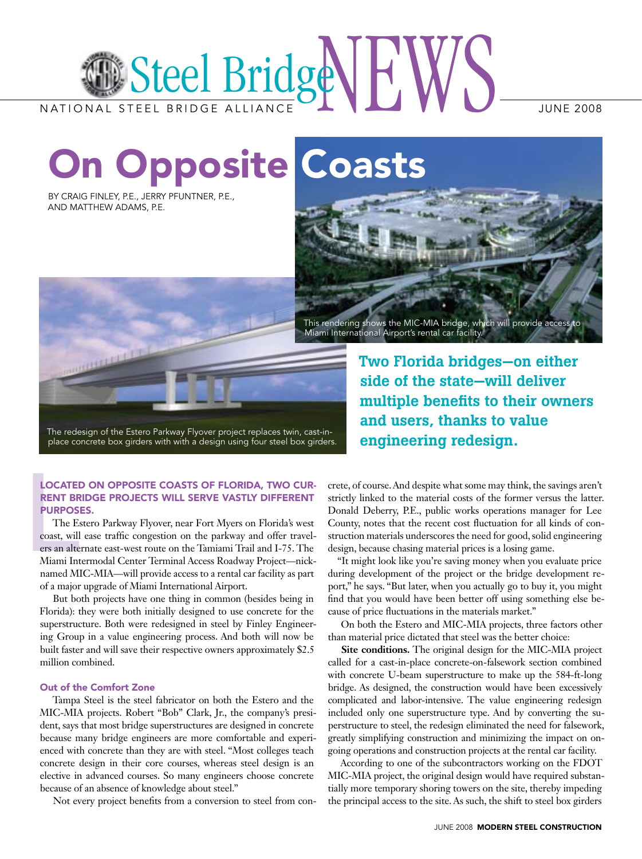

On Opposite Coasts

By Craig Finley, P.E., Jerry Pfuntner, P.E., and Matthew Adams, P.E.



Two Florida bridges—on either side of the state—will deliver multiple benefits to their owners and users, thanks to value engineering redesign.

The redesign of the Estero Parkway Flyover project replaces twin, cast-inplace concrete box girders with with a design using four steel box girders.

## Located on opposite coasts of Florida, two current bridge projects will serve vastly different purposes.

**LOCATE**<br> **RENT BR**<br> **PURPOS**<br>
The E<br>
coast, will<br>
ers an alte<br>
Miami Int<br>
named M The Estero Parkway Flyover, near Fort Myers on Florida's west coast, will ease traffic congestion on the parkway and offer travelers an alternate east-west route on the Tamiami Trail and I-75. The Miami Intermodal Center Terminal Access Roadway Project—nicknamed MIC-MIA—will provide access to a rental car facility as part of a major upgrade of Miami International Airport.

But both projects have one thing in common (besides being in Florida): they were both initially designed to use concrete for the superstructure. Both were redesigned in steel by Finley Engineering Group in a value engineering process. And both will now be built faster and will save their respective owners approximately \$2.5 million combined.

## Out of the Comfort Zone

Tampa Steel is the steel fabricator on both the Estero and the MIC-MIA projects. Robert "Bob" Clark, Jr., the company's president, says that most bridge superstructures are designed in concrete because many bridge engineers are more comfortable and experienced with concrete than they are with steel. "Most colleges teach concrete design in their core courses, whereas steel design is an elective in advanced courses. So many engineers choose concrete because of an absence of knowledge about steel."

Not every project benefits from a conversion to steel from con-

crete, of course. And despite what some may think, the savings aren't strictly linked to the material costs of the former versus the latter. Donald Deberry, P.E., public works operations manager for Lee County, notes that the recent cost fluctuation for all kinds of construction materials underscores the need for good, solid engineering design, because chasing material prices is a losing game.

"It might look like you're saving money when you evaluate price during development of the project or the bridge development report," he says. "But later, when you actually go to buy it, you might find that you would have been better off using something else because of price fluctuations in the materials market."

On both the Estero and MIC-MIA projects, three factors other than material price dictated that steel was the better choice:

**Site conditions.** The original design for the MIC-MIA project called for a cast-in-place concrete-on-falsework section combined with concrete U-beam superstructure to make up the 584-ft-long bridge. As designed, the construction would have been excessively complicated and labor-intensive. The value engineering redesign included only one superstructure type. And by converting the superstructure to steel, the redesign eliminated the need for falsework, greatly simplifying construction and minimizing the impact on ongoing operations and construction projects at the rental car facility.

According to one of the subcontractors working on the FDOT MIC-MIA project, the original design would have required substantially more temporary shoring towers on the site, thereby impeding the principal access to the site. As such, the shift to steel box girders